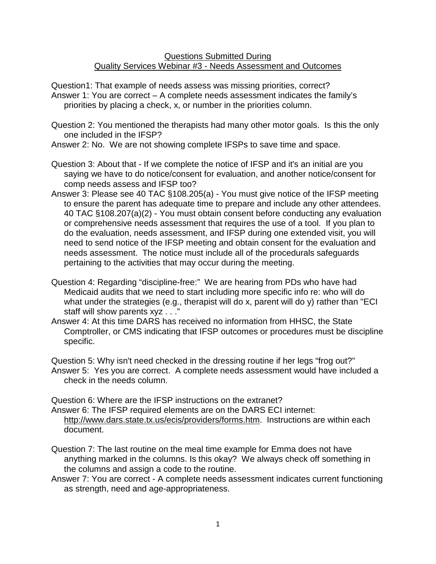## Questions Submitted During Quality Services Webinar #3 - Needs Assessment and Outcomes

Question1: That example of needs assess was missing priorities, correct? Answer 1: You are correct – A complete needs assessment indicates the family's priorities by placing a check, x, or number in the priorities column.

Question 2: You mentioned the therapists had many other motor goals. Is this the only one included in the IFSP?

Answer 2: No. We are not showing complete IFSPs to save time and space.

- Question 3: About that If we complete the notice of IFSP and it's an initial are you saying we have to do notice/consent for evaluation, and another notice/consent for comp needs assess and IFSP too?
- Answer 3: Please see 40 TAC §108.205(a) You must give notice of the IFSP meeting to ensure the parent has adequate time to prepare and include any other attendees. 40 TAC §108.207(a)(2) - You must obtain consent before conducting any evaluation or comprehensive needs assessment that requires the use of a tool. If you plan to do the evaluation, needs assessment, and IFSP during one extended visit, you will need to send notice of the IFSP meeting and obtain consent for the evaluation and needs assessment. The notice must include all of the procedurals safeguards pertaining to the activities that may occur during the meeting.
- Question 4: Regarding "discipline-free:" We are hearing from PDs who have had Medicaid audits that we need to start including more specific info re: who will do what under the strategies (e.g., therapist will do x, parent will do y) rather than "ECI staff will show parents xyz . . ."
- Answer 4: At this time DARS has received no information from HHSC, the State Comptroller, or CMS indicating that IFSP outcomes or procedures must be discipline specific.

Question 5: Why isn't need checked in the dressing routine if her legs "frog out?" Answer 5: Yes you are correct. A complete needs assessment would have included a check in the needs column.

Question 6: Where are the IFSP instructions on the extranet?

Answer 6: The IFSP required elements are on the DARS ECI internet: [http://www.dars.state.tx.us/ecis/providers/forms.htm.](http://www.dars.state.tx.us/ecis/providers/forms.htm) Instructions are within each document.

- Question 7: The last routine on the meal time example for Emma does not have anything marked in the columns. Is this okay? We always check off something in the columns and assign a code to the routine.
- Answer 7: You are correct A complete needs assessment indicates current functioning as strength, need and age-appropriateness.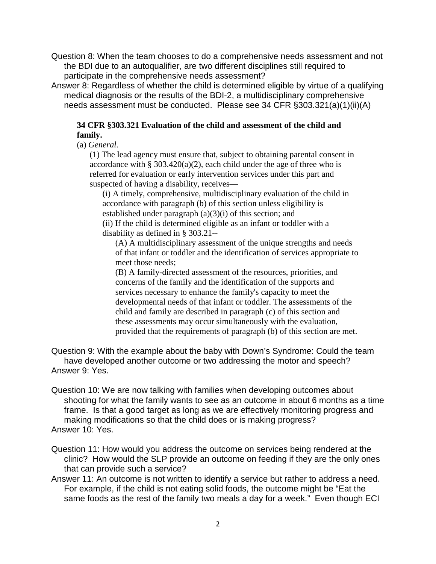Question 8: When the team chooses to do a comprehensive needs assessment and not the BDI due to an autoqualifier, are two different disciplines still required to participate in the comprehensive needs assessment?

Answer 8: Regardless of whether the child is determined eligible by virtue of a qualifying medical diagnosis or the results of the BDI-2, a multidisciplinary comprehensive needs assessment must be conducted. Please see 34 CFR §303.321(a)(1)(ii)(A)

## **34 CFR §303.321 Evaluation of the child and assessment of the child and family.**

(a) *General.*

(1) The lead agency must ensure that, subject to obtaining parental consent in accordance with  $\S 303.420(a)(2)$ , each child under the age of three who is referred for evaluation or early intervention services under this part and suspected of having a disability, receives—

(i) A timely, comprehensive, multidisciplinary evaluation of the child in accordance with paragraph (b) of this section unless eligibility is established under paragraph  $(a)(3)(i)$  of this section; and (ii) If the child is determined eligible as an infant or toddler with a disability as defined in § 303.21--

(A) A multidisciplinary assessment of the unique strengths and needs of that infant or toddler and the identification of services appropriate to meet those needs;

(B) A family-directed assessment of the resources, priorities, and concerns of the family and the identification of the supports and services necessary to enhance the family's capacity to meet the developmental needs of that infant or toddler. The assessments of the child and family are described in paragraph (c) of this section and these assessments may occur simultaneously with the evaluation, provided that the requirements of paragraph (b) of this section are met.

Question 9: With the example about the baby with Down's Syndrome: Could the team have developed another outcome or two addressing the motor and speech? Answer 9: Yes.

- Question 10: We are now talking with families when developing outcomes about shooting for what the family wants to see as an outcome in about 6 months as a time frame. Is that a good target as long as we are effectively monitoring progress and making modifications so that the child does or is making progress? Answer 10: Yes.
- Question 11: How would you address the outcome on services being rendered at the clinic? How would the SLP provide an outcome on feeding if they are the only ones that can provide such a service?
- Answer 11: An outcome is not written to identify a service but rather to address a need. For example, if the child is not eating solid foods, the outcome might be "Eat the same foods as the rest of the family two meals a day for a week." Even though ECI